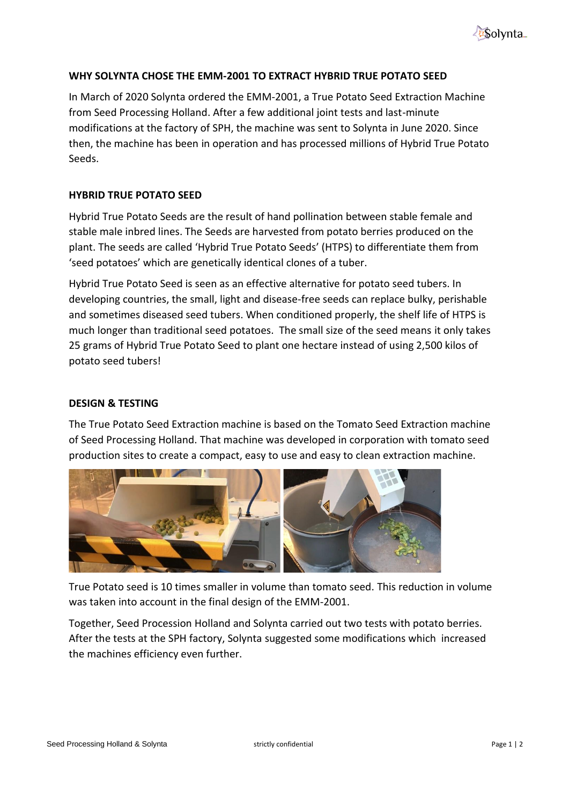

# **WHY SOLYNTA CHOSE THE EMM-2001 TO EXTRACT HYBRID TRUE POTATO SEED**

In March of 2020 Solynta ordered the EMM-2001, a True Potato Seed Extraction Machine from Seed Processing Holland. After a few additional joint tests and last-minute modifications at the factory of SPH, the machine was sent to Solynta in June 2020. Since then, the machine has been in operation and has processed millions of Hybrid True Potato Seeds.

# **HYBRID TRUE POTATO SEED**

Hybrid True Potato Seeds are the result of hand pollination between stable female and stable male inbred lines. The Seeds are harvested from potato berries produced on the plant. The seeds are called 'Hybrid True Potato Seeds' (HTPS) to differentiate them from 'seed potatoes' which are genetically identical clones of a tuber.

Hybrid True Potato Seed is seen as an effective alternative for potato seed tubers. In developing countries, the small, light and disease-free seeds can replace bulky, perishable and sometimes diseased seed tubers. When conditioned properly, the shelf life of HTPS is much longer than traditional seed potatoes. The small size of the seed means it only takes 25 grams of Hybrid True Potato Seed to plant one hectare instead of using 2,500 kilos of potato seed tubers!

# **DESIGN & TESTING**

The True Potato Seed Extraction machine is based on the Tomato Seed Extraction machine of Seed Processing Holland. That machine was developed in corporation with tomato seed production sites to create a compact, easy to use and easy to clean extraction machine.



True Potato seed is 10 times smaller in volume than tomato seed. This reduction in volume was taken into account in the final design of the EMM-2001.

Together, Seed Procession Holland and Solynta carried out two tests with potato berries. After the tests at the SPH factory, Solynta suggested some modifications which increased the machines efficiency even further.